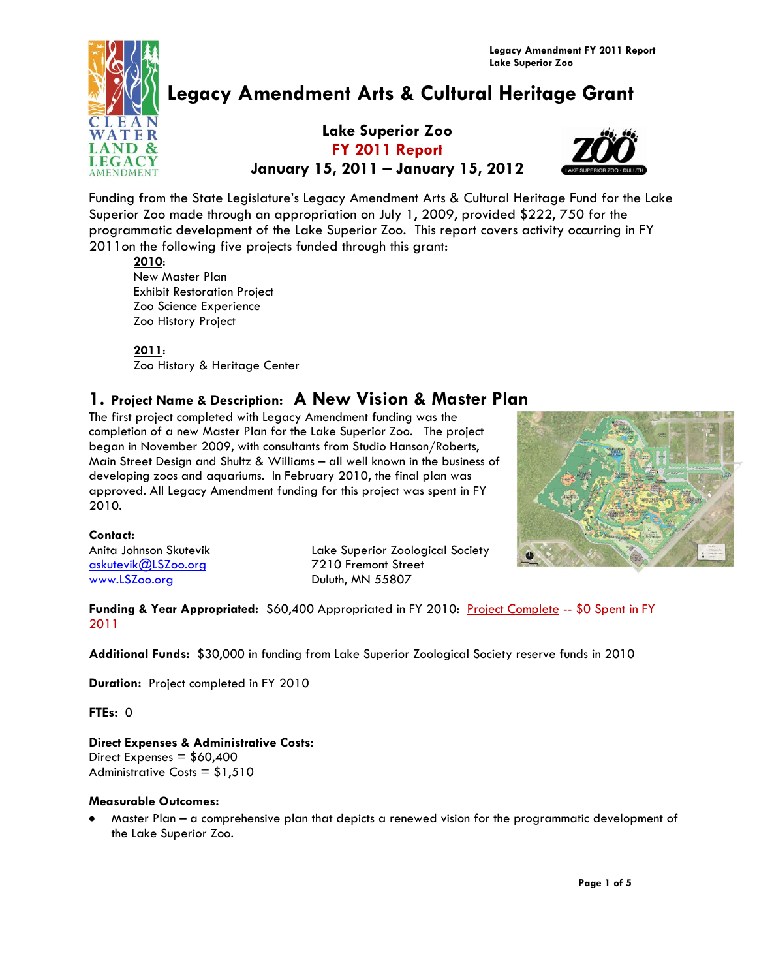

# **Legacy Amendment Arts & Cultural Heritage Grant**

## **Lake Superior Zoo FY 2011 Report January 15, 2011 – January 15, 2012**



Funding from the State Legislature's Legacy Amendment Arts & Cultural Heritage Fund for the Lake Superior Zoo made through an appropriation on July 1, 2009, provided \$222, 750 for the programmatic development of the Lake Superior Zoo. This report covers activity occurring in FY 2011on the following five projects funded through this grant:

#### **2010**:

New Master Plan Exhibit Restoration Project Zoo Science Experience Zoo History Project

**2011**: Zoo History & Heritage Center

## **1. Project Name & Description: A New Vision & Master Plan**

The first project completed with Legacy Amendment funding was the completion of a new Master Plan for the Lake Superior Zoo. The project began in November 2009, with consultants from Studio Hanson/Roberts, Main Street Design and Shultz & Williams – all well known in the business of developing zoos and aquariums. In February 2010, the final plan was approved. All Legacy Amendment funding for this project was spent in FY 2010.



#### **Contact:**

[askutevik@LSZoo.org](mailto:askutevik@LSZoo.org) 7210 Fremont Street [www.LSZoo.org](http://www.lszoo.org/) Duluth, MN 55807

Anita Johnson Skutevik **Lake Superior Zoological Society** 

**Funding & Year Appropriated:** \$60,400 Appropriated in FY 2010: Project Complete -- \$0 Spent in FY 2011

**Additional Funds:** \$30,000 in funding from Lake Superior Zoological Society reserve funds in 2010

**Duration:** Project completed in FY 2010

**FTEs:** 0

**Direct Expenses & Administrative Costs:** Direct Expenses  $=$  \$60,400 Administrative Costs = \$1,510

#### **Measurable Outcomes:**

Master Plan – a comprehensive plan that depicts a renewed vision for the programmatic development of the Lake Superior Zoo.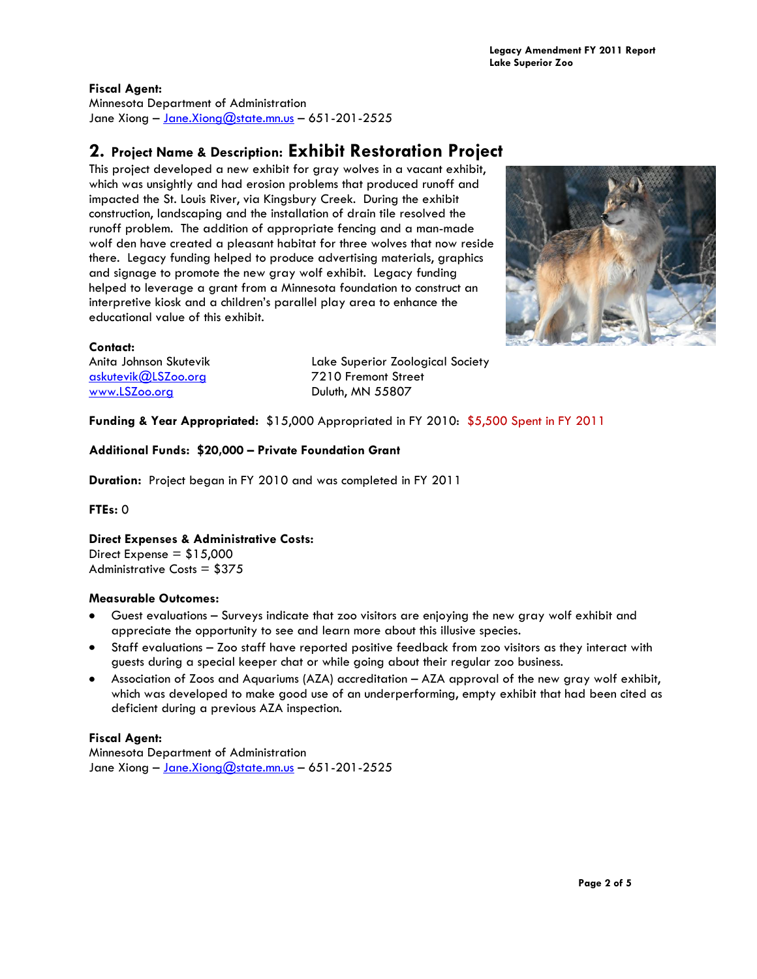#### **Fiscal Agent:**

Minnesota Department of Administration Jane Xiong – [Jane.Xiong@state.mn.us](mailto:Jane.Xiong@state.mn.us) – 651-201-2525

## **2. Project Name & Description: Exhibit Restoration Project**

This project developed a new exhibit for gray wolves in a vacant exhibit, which was unsightly and had erosion problems that produced runoff and impacted the St. Louis River, via Kingsbury Creek. During the exhibit construction, landscaping and the installation of drain tile resolved the runoff problem. The addition of appropriate fencing and a man-made wolf den have created a pleasant habitat for three wolves that now reside there. Legacy funding helped to produce advertising materials, graphics and signage to promote the new gray wolf exhibit. Legacy funding helped to leverage a grant from a Minnesota foundation to construct an interpretive kiosk and a children's parallel play area to enhance the educational value of this exhibit.



#### **Contact:**

[askutevik@LSZoo.org](mailto:askutevik@LSZoo.org) 7210 Fremont Street [www.LSZoo.org](http://www.lszoo.org/) Duluth, MN 55807

Anita Johnson Skutevik Lake Superior Zoological Society

**Funding & Year Appropriated:** \$15,000 Appropriated in FY 2010: \$5,500 Spent in FY 2011

#### **Additional Funds: \$20,000 – Private Foundation Grant**

**Duration:** Project began in FY 2010 and was completed in FY 2011

**FTEs:** 0

#### **Direct Expenses & Administrative Costs:**

Direct Expense  $= $15,000$ Administrative Costs = \$375

#### **Measurable Outcomes:**

- Guest evaluations Surveys indicate that zoo visitors are enjoying the new gray wolf exhibit and appreciate the opportunity to see and learn more about this illusive species.
- Staff evaluations Zoo staff have reported positive feedback from zoo visitors as they interact with guests during a special keeper chat or while going about their regular zoo business.
- Association of Zoos and Aquariums (AZA) accreditation AZA approval of the new gray wolf exhibit, which was developed to make good use of an underperforming, empty exhibit that had been cited as deficient during a previous AZA inspection.

#### **Fiscal Agent:**

Minnesota Department of Administration Jane Xiong - [Jane.Xiong@state.mn.us](mailto:Jane.Xiong@state.mn.us) - 651-201-2525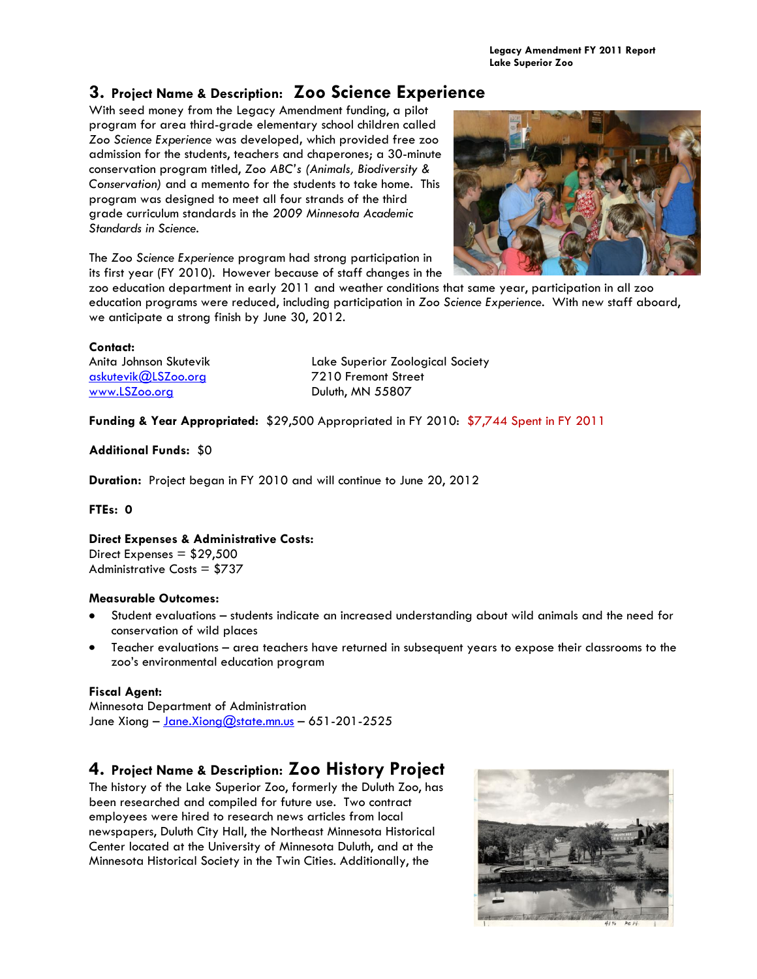## **3. Project Name & Description: Zoo Science Experience**

With seed money from the Legacy Amendment funding, a pilot program for area third-grade elementary school children called *Zoo Science Experience* was developed**,** which provided free zoo admission for the students, teachers and chaperones; a 30-minute conservation program titled, *Zoo ABC's (Animals, Biodiversity & Conservation)* and a memento for the students to take home. This program was designed to meet all four strands of the third grade curriculum standards in the *2009 Minnesota Academic Standards in Science.*



The *Zoo Science Experience* program had strong participation in its first year (FY 2010). However because of staff changes in the

zoo education department in early 2011 and weather conditions that same year, participation in all zoo education programs were reduced, including participation in *Zoo Science Experience.* With new staff aboard, we anticipate a strong finish by June 30, 2012.

#### **Contact:**

[askutevik@LSZoo.org](mailto:askutevik@LSZoo.org) 7210 Fremont Street [www.LSZoo.org](http://www.lszoo.org/) Duluth, MN 55807

Anita Johnson Skutevik Lake Superior Zoological Society

**Funding & Year Appropriated:** \$29,500 Appropriated in FY 2010: \$7,744 Spent in FY 2011

**Additional Funds:** \$0

**Duration:** Project began in FY 2010 and will continue to June 20, 2012

**FTEs: 0**

#### **Direct Expenses & Administrative Costs:**

Direct Expenses  $=$  \$29,500 Administrative Costs = \$737

#### **Measurable Outcomes:**

- Student evaluations students indicate an increased understanding about wild animals and the need for conservation of wild places
- Teacher evaluations area teachers have returned in subsequent years to expose their classrooms to the zoo's environmental education program

#### **Fiscal Agent:**

Minnesota Department of Administration Jane Xiong - Jane. Xiong@state.mn.us - 651-201-2525

## **4. Project Name & Description: Zoo History Project**

The history of the Lake Superior Zoo, formerly the Duluth Zoo, has been researched and compiled for future use. Two contract employees were hired to research news articles from local newspapers, Duluth City Hall, the Northeast Minnesota Historical Center located at the University of Minnesota Duluth, and at the Minnesota Historical Society in the Twin Cities. Additionally, the

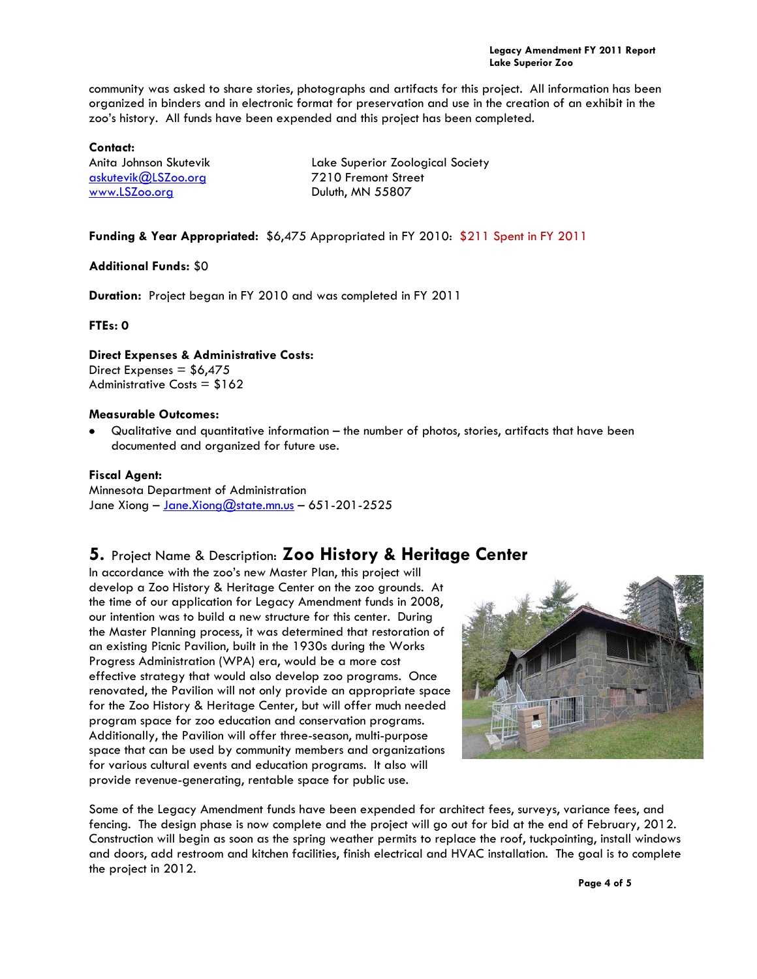community was asked to share stories, photographs and artifacts for this project. All information has been organized in binders and in electronic format for preservation and use in the creation of an exhibit in the zoo's history. All funds have been expended and this project has been completed.

#### **Contact:**

[askutevik@LSZoo.org](mailto:askutevik@LSZoo.org) 7210 Fremont Street [www.LSZoo.org](http://www.lszoo.org/) Duluth, MN 55807

Anita Johnson Skutevik **Lake Superior Zoological Society** 

#### **Funding & Year Appropriated:** \$6,475 Appropriated in FY 2010: \$211 Spent in FY 2011

#### **Additional Funds:** \$0

**Duration:** Project began in FY 2010 and was completed in FY 2011

#### **FTEs: 0**

**Direct Expenses & Administrative Costs:** Direct Expenses  $=$  \$6,475 Administrative Costs = \$162

#### **Measurable Outcomes:**

Qualitative and quantitative information – the number of photos, stories, artifacts that have been documented and organized for future use.

#### **Fiscal Agent:**

Minnesota Department of Administration Jane Xiong - Jane. Xiong @state.mn.us - 651-201-2525

## **5.** Project Name & Description: **Zoo History & Heritage Center**

In accordance with the zoo's new Master Plan, this project will develop a Zoo History & Heritage Center on the zoo grounds. At the time of our application for Legacy Amendment funds in 2008, our intention was to build a new structure for this center. During the Master Planning process, it was determined that restoration of an existing Picnic Pavilion, built in the 1930s during the Works Progress Administration (WPA) era, would be a more cost effective strategy that would also develop zoo programs. Once renovated, the Pavilion will not only provide an appropriate space for the Zoo History & Heritage Center, but will offer much needed program space for zoo education and conservation programs. Additionally, the Pavilion will offer three-season, multi-purpose space that can be used by community members and organizations for various cultural events and education programs. It also will provide revenue-generating, rentable space for public use.



Some of the Legacy Amendment funds have been expended for architect fees, surveys, variance fees, and fencing. The design phase is now complete and the project will go out for bid at the end of February, 2012. Construction will begin as soon as the spring weather permits to replace the roof, tuckpointing, install windows and doors, add restroom and kitchen facilities, finish electrical and HVAC installation. The goal is to complete the project in 2012.